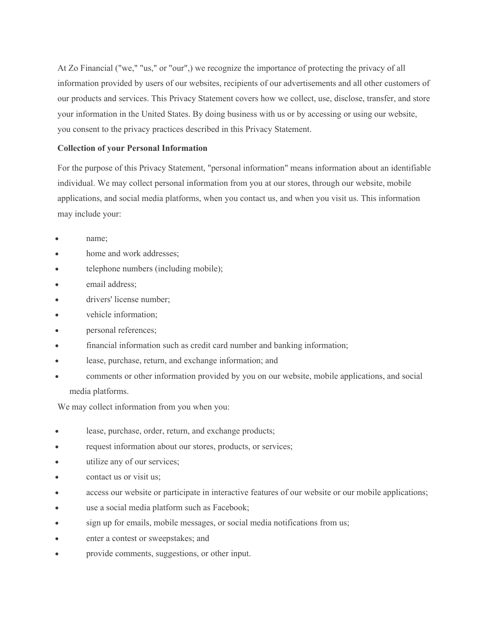At Zo Financial ("we," "us," or "our",) we recognize the importance of protecting the privacy of all information provided by users of our websites, recipients of our advertisements and all other customers of our products and services. This Privacy Statement covers how we collect, use, disclose, transfer, and store your information in the United States. By doing business with us or by accessing or using our website, you consent to the privacy practices described in this Privacy Statement.

# **Collection of your Personal Information**

For the purpose of this Privacy Statement, "personal information" means information about an identifiable individual. We may collect personal information from you at our stores, through our website, mobile applications, and social media platforms, when you contact us, and when you visit us. This information may include your:

- name;
- home and work addresses;
- telephone numbers (including mobile);
- email address;
- drivers' license number;
- vehicle information;
- personal references;
- financial information such as credit card number and banking information;
- lease, purchase, return, and exchange information; and
- comments or other information provided by you on our website, mobile applications, and social media platforms.

We may collect information from you when you:

- lease, purchase, order, return, and exchange products;
- request information about our stores, products, or services;
- utilize any of our services;
- contact us or visit us;
- access our website or participate in interactive features of our website or our mobile applications;
- use a social media platform such as Facebook;
- sign up for emails, mobile messages, or social media notifications from us;
- enter a contest or sweepstakes; and
- provide comments, suggestions, or other input.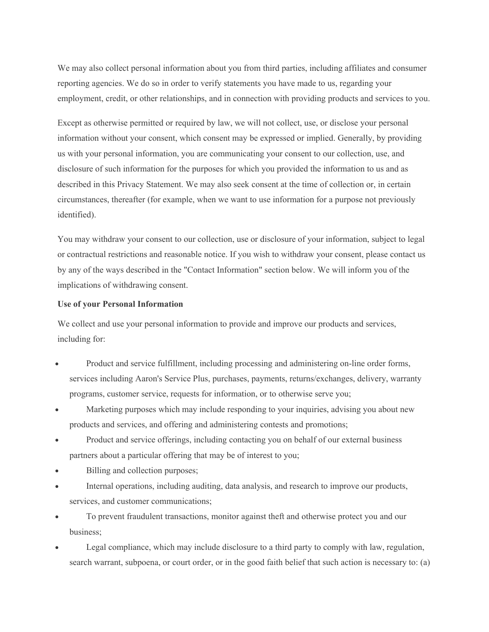We may also collect personal information about you from third parties, including affiliates and consumer reporting agencies. We do so in order to verify statements you have made to us, regarding your employment, credit, or other relationships, and in connection with providing products and services to you.

Except as otherwise permitted or required by law, we will not collect, use, or disclose your personal information without your consent, which consent may be expressed or implied. Generally, by providing us with your personal information, you are communicating your consent to our collection, use, and disclosure of such information for the purposes for which you provided the information to us and as described in this Privacy Statement. We may also seek consent at the time of collection or, in certain circumstances, thereafter (for example, when we want to use information for a purpose not previously identified).

You may withdraw your consent to our collection, use or disclosure of your information, subject to legal or contractual restrictions and reasonable notice. If you wish to withdraw your consent, please contact us by any of the ways described in the "Contact Information" section below. We will inform you of the implications of withdrawing consent.

## **Use of your Personal Information**

We collect and use your personal information to provide and improve our products and services, including for:

- Product and service fulfillment, including processing and administering on-line order forms, services including Aaron's Service Plus, purchases, payments, returns/exchanges, delivery, warranty programs, customer service, requests for information, or to otherwise serve you;
- Marketing purposes which may include responding to your inquiries, advising you about new products and services, and offering and administering contests and promotions;
- Product and service offerings, including contacting you on behalf of our external business partners about a particular offering that may be of interest to you;
- Billing and collection purposes;
- Internal operations, including auditing, data analysis, and research to improve our products, services, and customer communications;
- To prevent fraudulent transactions, monitor against theft and otherwise protect you and our business;
- Legal compliance, which may include disclosure to a third party to comply with law, regulation, search warrant, subpoena, or court order, or in the good faith belief that such action is necessary to: (a)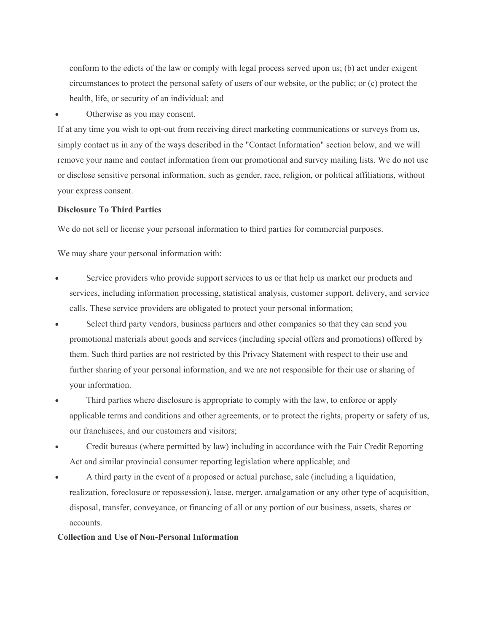conform to the edicts of the law or comply with legal process served upon us; (b) act under exigent circumstances to protect the personal safety of users of our website, or the public; or (c) protect the health, life, or security of an individual; and

Otherwise as you may consent.

If at any time you wish to opt-out from receiving direct marketing communications or surveys from us, simply contact us in any of the ways described in the "Contact Information" section below, and we will remove your name and contact information from our promotional and survey mailing lists. We do not use or disclose sensitive personal information, such as gender, race, religion, or political affiliations, without your express consent.

# **Disclosure To Third Parties**

We do not sell or license your personal information to third parties for commercial purposes.

We may share your personal information with:

- Service providers who provide support services to us or that help us market our products and services, including information processing, statistical analysis, customer support, delivery, and service calls. These service providers are obligated to protect your personal information;
- Select third party vendors, business partners and other companies so that they can send you promotional materials about goods and services (including special offers and promotions) offered by them. Such third parties are not restricted by this Privacy Statement with respect to their use and further sharing of your personal information, and we are not responsible for their use or sharing of your information.
- Third parties where disclosure is appropriate to comply with the law, to enforce or apply applicable terms and conditions and other agreements, or to protect the rights, property or safety of us, our franchisees, and our customers and visitors;
- Credit bureaus (where permitted by law) including in accordance with the Fair Credit Reporting Act and similar provincial consumer reporting legislation where applicable; and
- A third party in the event of a proposed or actual purchase, sale (including a liquidation, realization, foreclosure or repossession), lease, merger, amalgamation or any other type of acquisition, disposal, transfer, conveyance, or financing of all or any portion of our business, assets, shares or accounts.

# **Collection and Use of Non-Personal Information**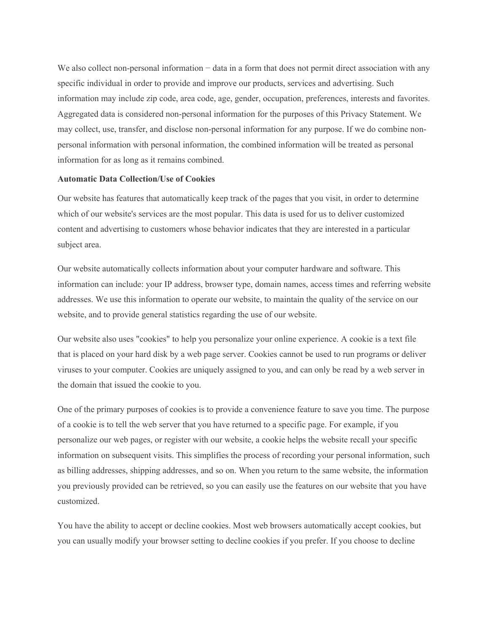We also collect non-personal information − data in a form that does not permit direct association with any specific individual in order to provide and improve our products, services and advertising. Such information may include zip code, area code, age, gender, occupation, preferences, interests and favorites. Aggregated data is considered non-personal information for the purposes of this Privacy Statement. We may collect, use, transfer, and disclose non-personal information for any purpose. If we do combine nonpersonal information with personal information, the combined information will be treated as personal information for as long as it remains combined.

### **Automatic Data Collection/Use of Cookies**

Our website has features that automatically keep track of the pages that you visit, in order to determine which of our website's services are the most popular. This data is used for us to deliver customized content and advertising to customers whose behavior indicates that they are interested in a particular subject area.

Our website automatically collects information about your computer hardware and software. This information can include: your IP address, browser type, domain names, access times and referring website addresses. We use this information to operate our website, to maintain the quality of the service on our website, and to provide general statistics regarding the use of our website.

Our website also uses "cookies" to help you personalize your online experience. A cookie is a text file that is placed on your hard disk by a web page server. Cookies cannot be used to run programs or deliver viruses to your computer. Cookies are uniquely assigned to you, and can only be read by a web server in the domain that issued the cookie to you.

One of the primary purposes of cookies is to provide a convenience feature to save you time. The purpose of a cookie is to tell the web server that you have returned to a specific page. For example, if you personalize our web pages, or register with our website, a cookie helps the website recall your specific information on subsequent visits. This simplifies the process of recording your personal information, such as billing addresses, shipping addresses, and so on. When you return to the same website, the information you previously provided can be retrieved, so you can easily use the features on our website that you have customized.

You have the ability to accept or decline cookies. Most web browsers automatically accept cookies, but you can usually modify your browser setting to decline cookies if you prefer. If you choose to decline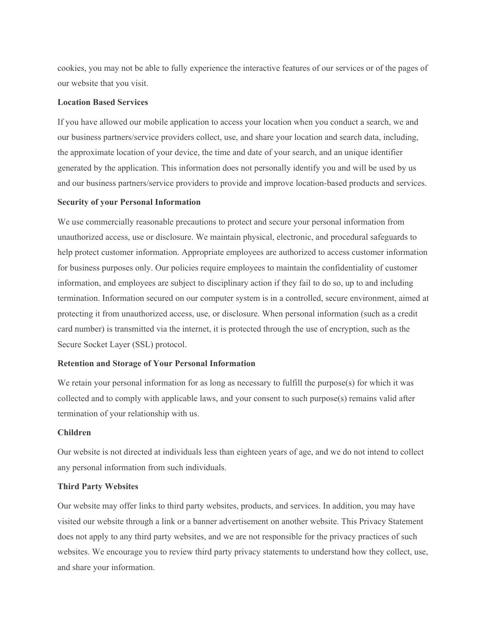cookies, you may not be able to fully experience the interactive features of our services or of the pages of our website that you visit.

# **Location Based Services**

If you have allowed our mobile application to access your location when you conduct a search, we and our business partners/service providers collect, use, and share your location and search data, including, the approximate location of your device, the time and date of your search, and an unique identifier generated by the application. This information does not personally identify you and will be used by us and our business partners/service providers to provide and improve location-based products and services.

## **Security of your Personal Information**

We use commercially reasonable precautions to protect and secure your personal information from unauthorized access, use or disclosure. We maintain physical, electronic, and procedural safeguards to help protect customer information. Appropriate employees are authorized to access customer information for business purposes only. Our policies require employees to maintain the confidentiality of customer information, and employees are subject to disciplinary action if they fail to do so, up to and including termination. Information secured on our computer system is in a controlled, secure environment, aimed at protecting it from unauthorized access, use, or disclosure. When personal information (such as a credit card number) is transmitted via the internet, it is protected through the use of encryption, such as the Secure Socket Layer (SSL) protocol.

#### **Retention and Storage of Your Personal Information**

We retain your personal information for as long as necessary to fulfill the purpose(s) for which it was collected and to comply with applicable laws, and your consent to such purpose(s) remains valid after termination of your relationship with us.

#### **Children**

Our website is not directed at individuals less than eighteen years of age, and we do not intend to collect any personal information from such individuals.

## **Third Party Websites**

Our website may offer links to third party websites, products, and services. In addition, you may have visited our website through a link or a banner advertisement on another website. This Privacy Statement does not apply to any third party websites, and we are not responsible for the privacy practices of such websites. We encourage you to review third party privacy statements to understand how they collect, use, and share your information.